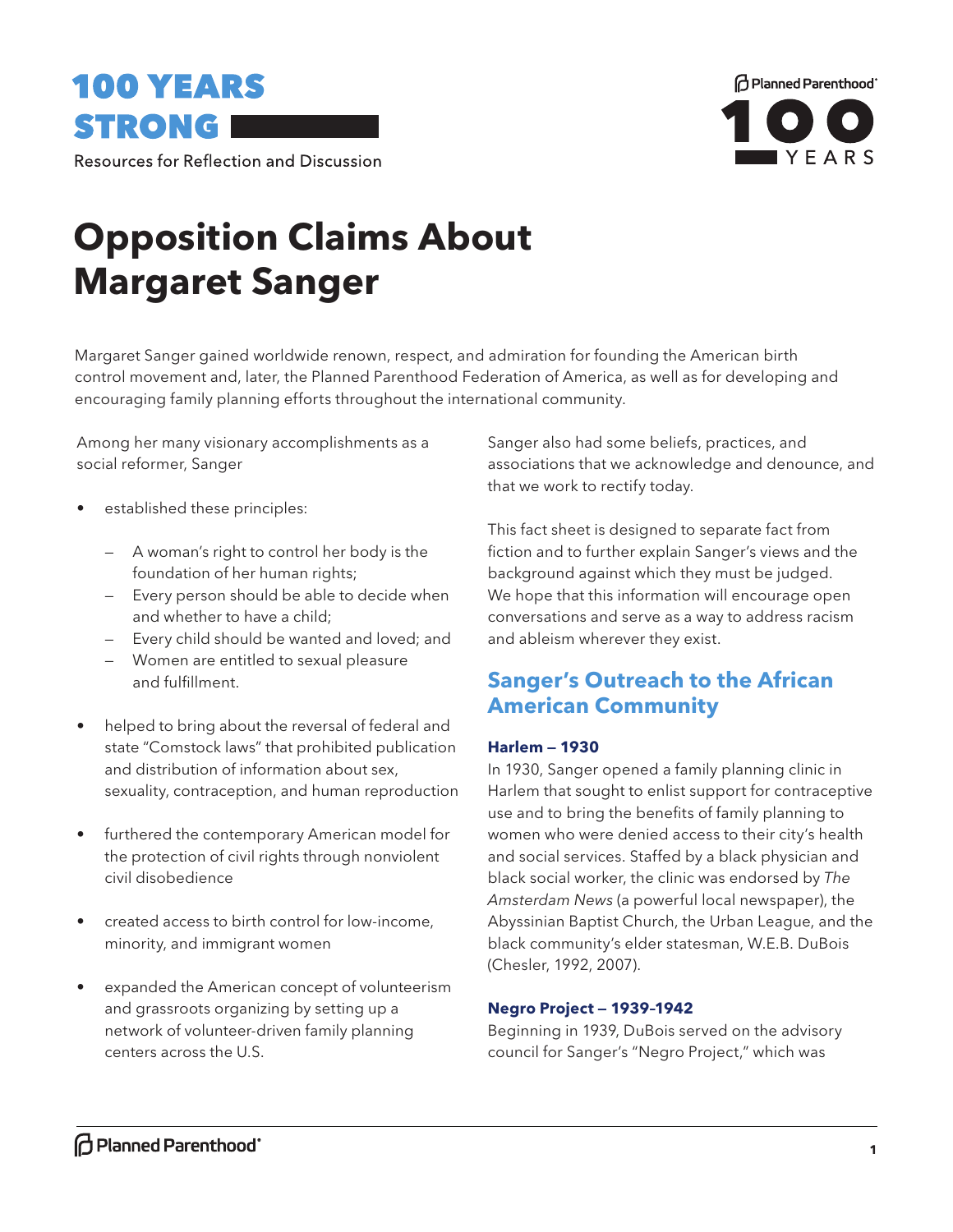



**Resources for Reflection and Discussion** 

# **Opposition Claims About Margaret Sanger**

Margaret Sanger gained worldwide renown, respect, and admiration for founding the American birth control movement and, later, the Planned Parenthood Federation of America, as well as for developing and encouraging family planning efforts throughout the international community.

Among her many visionary accomplishments as a social reformer, Sanger

- established these principles:
	- A woman's right to control her body is the foundation of her human rights;
	- Every person should be able to decide when and whether to have a child;
	- Every child should be wanted and loved; and
	- Women are entitled to sexual pleasure and fulfillment.
- helped to bring about the reversal of federal and state "Comstock laws" that prohibited publication and distribution of information about sex, sexuality, contraception, and human reproduction
- furthered the contemporary American model for the protection of civil rights through nonviolent civil disobedience
- created access to birth control for low-income, minority, and immigrant women
- expanded the American concept of volunteerism and grassroots organizing by setting up a network of volunteer-driven family planning centers across the U.S.

Sanger also had some beliefs, practices, and associations that we acknowledge and denounce, and that we work to rectify today.

This fact sheet is designed to separate fact from fiction and to further explain Sanger's views and the background against which they must be judged. We hope that this information will encourage open conversations and serve as a way to address racism and ableism wherever they exist.

## **Sanger's Outreach to the African American Community**

### **Harlem — 1930**

In 1930, Sanger opened a family planning clinic in Harlem that sought to enlist support for contraceptive use and to bring the benefits of family planning to women who were denied access to their city's health and social services. Staffed by a black physician and black social worker, the clinic was endorsed by *The Amsterdam News* (a powerful local newspaper), the Abyssinian Baptist Church, the Urban League, and the black community's elder statesman, W.E.B. DuBois (Chesler, 1992, 2007).

#### **Negro Project — 1939–1942**

Beginning in 1939, DuBois served on the advisory council for Sanger's "Negro Project," which was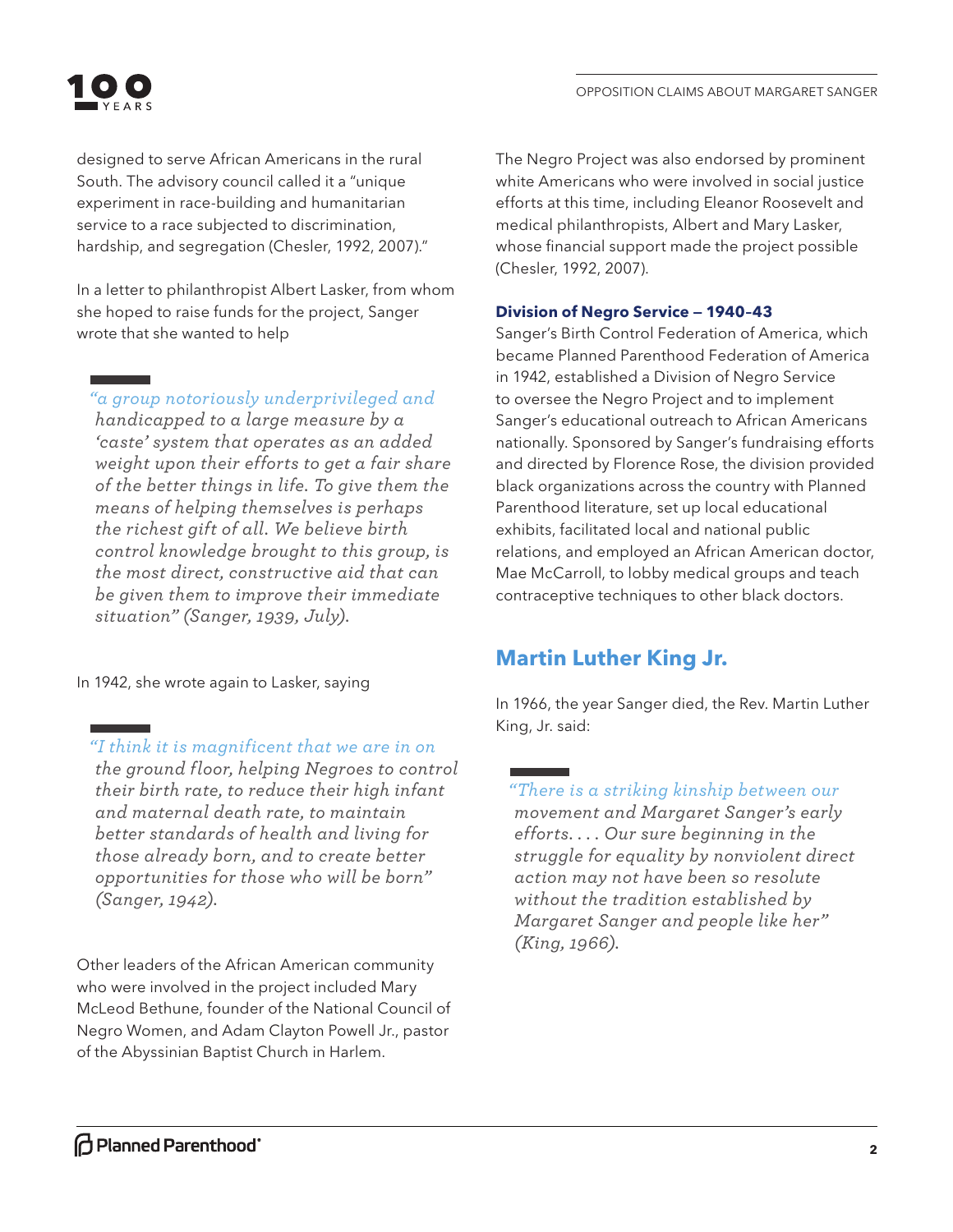

designed to serve African Americans in the rural South. The advisory council called it a "unique experiment in race-building and humanitarian service to a race subjected to discrimination, hardship, and segregation (Chesler, 1992, 2007)."

In a letter to philanthropist Albert Lasker, from whom she hoped to raise funds for the project, Sanger wrote that she wanted to help

*"a group notoriously underprivileged and handicapped to a large measure by a 'caste' system that operates as an added weight upon their efforts to get a fair share of the better things in life. To give them the means of helping themselves is perhaps the richest gift of all. We believe birth control knowledge brought to this group, is the most direct, constructive aid that can be given them to improve their immediate situation" (Sanger, 1939, July).* 

In 1942, she wrote again to Lasker, saying

*"I think it is magnificent that we are in on the ground floor, helping Negroes to control their birth rate, to reduce their high infant and maternal death rate, to maintain better standards of health and living for those already born, and to create better opportunities for those who will be born" (Sanger, 1942).*

Other leaders of the African American community who were involved in the project included Mary McLeod Bethune, founder of the National Council of Negro Women, and Adam Clayton Powell Jr., pastor of the Abyssinian Baptist Church in Harlem.

The Negro Project was also endorsed by prominent white Americans who were involved in social justice efforts at this time, including Eleanor Roosevelt and medical philanthropists, Albert and Mary Lasker, whose financial support made the project possible (Chesler, 1992, 2007).

#### **Division of Negro Service — 1940–43**

Sanger's Birth Control Federation of America, which became Planned Parenthood Federation of America in 1942, established a Division of Negro Service to oversee the Negro Project and to implement Sanger's educational outreach to African Americans nationally. Sponsored by Sanger's fundraising efforts and directed by Florence Rose, the division provided black organizations across the country with Planned Parenthood literature, set up local educational exhibits, facilitated local and national public relations, and employed an African American doctor, Mae McCarroll, to lobby medical groups and teach contraceptive techniques to other black doctors.

## **Martin Luther King Jr.**

In 1966, the year Sanger died, the Rev. Martin Luther King, Jr. said:

*"There is a striking kinship between our movement and Margaret Sanger's early efforts. . . . Our sure beginning in the struggle for equality by nonviolent direct action may not have been so resolute without the tradition established by Margaret Sanger and people like her" (King, 1966).*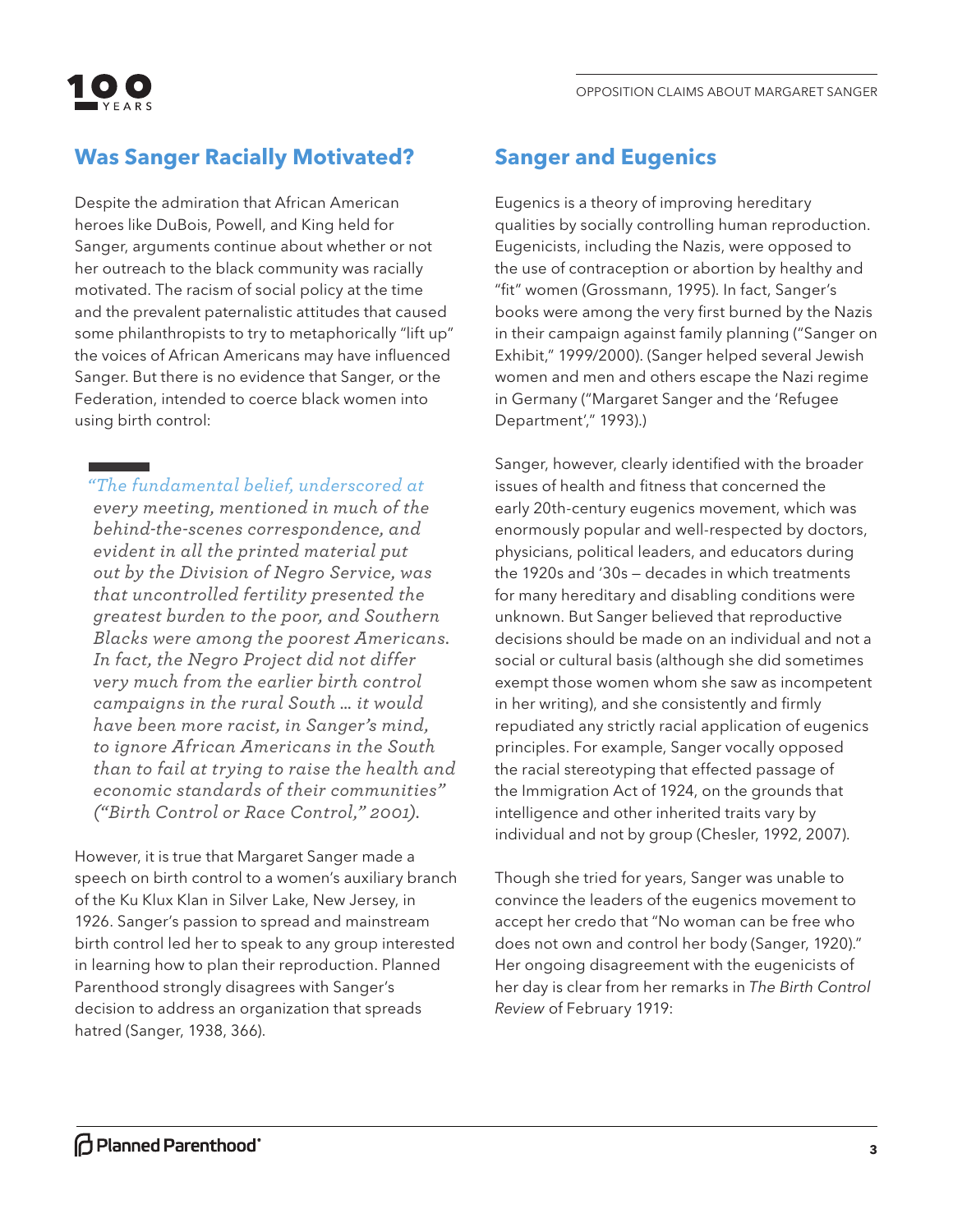

# **Was Sanger Racially Motivated?**

Despite the admiration that African American heroes like DuBois, Powell, and King held for Sanger, arguments continue about whether or not her outreach to the black community was racially motivated. The racism of social policy at the time and the prevalent paternalistic attitudes that caused some philanthropists to try to metaphorically "lift up" the voices of African Americans may have influenced Sanger. But there is no evidence that Sanger, or the Federation, intended to coerce black women into using birth control:

*"The fundamental belief, underscored at* 

*every meeting, mentioned in much of the behind-the-scenes correspondence, and evident in all the printed material put out by the Division of Negro Service, was that uncontrolled fertility presented the greatest burden to the poor, and Southern Blacks were among the poorest Americans. In fact, the Negro Project did not differ very much from the earlier birth control campaigns in the rural South … it would have been more racist, in Sanger's mind, to ignore African Americans in the South than to fail at trying to raise the health and economic standards of their communities" ("Birth Control or Race Control," 2001).* 

However, it is true that Margaret Sanger made a speech on birth control to a women's auxiliary branch of the Ku Klux Klan in Silver Lake, New Jersey, in 1926. Sanger's passion to spread and mainstream birth control led her to speak to any group interested in learning how to plan their reproduction. Planned Parenthood strongly disagrees with Sanger's decision to address an organization that spreads hatred (Sanger, 1938, 366).

## **Sanger and Eugenics**

Eugenics is a theory of improving hereditary qualities by socially controlling human reproduction. Eugenicists, including the Nazis, were opposed to the use of contraception or abortion by healthy and "fit" women (Grossmann, 1995). In fact, Sanger's books were among the very first burned by the Nazis in their campaign against family planning ("Sanger on Exhibit," 1999/2000). (Sanger helped several Jewish women and men and others escape the Nazi regime in Germany ("Margaret Sanger and the 'Refugee Department'," 1993).)

Sanger, however, clearly identified with the broader issues of health and fitness that concerned the early 20th-century eugenics movement, which was enormously popular and well-respected by doctors, physicians, political leaders, and educators during the 1920s and '30s — decades in which treatments for many hereditary and disabling conditions were unknown. But Sanger believed that reproductive decisions should be made on an individual and not a social or cultural basis (although she did sometimes exempt those women whom she saw as incompetent in her writing), and she consistently and firmly repudiated any strictly racial application of eugenics principles. For example, Sanger vocally opposed the racial stereotyping that effected passage of the Immigration Act of 1924, on the grounds that intelligence and other inherited traits vary by individual and not by group (Chesler, 1992, 2007).

Though she tried for years, Sanger was unable to convince the leaders of the eugenics movement to accept her credo that "No woman can be free who does not own and control her body (Sanger, 1920)." Her ongoing disagreement with the eugenicists of her day is clear from her remarks in *The Birth Control Review* of February 1919: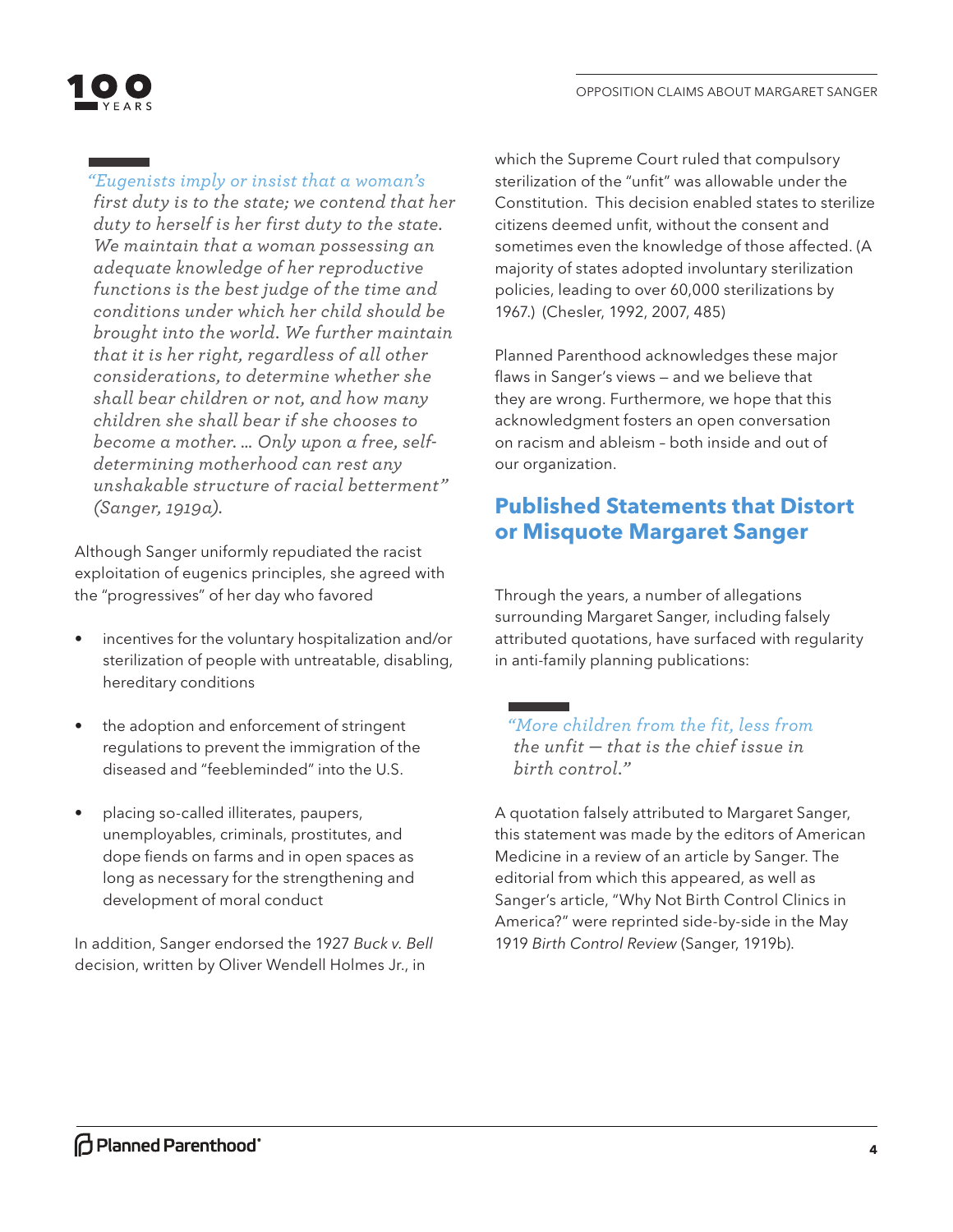

## *"Eugenists imply or insist that a woman's*

*first duty is to the state; we contend that her duty to herself is her first duty to the state. We maintain that a woman possessing an adequate knowledge of her reproductive functions is the best judge of the time and conditions under which her child should be brought into the world. We further maintain that it is her right, regardless of all other considerations, to determine whether she shall bear children or not, and how many children she shall bear if she chooses to become a mother. … Only upon a free, selfdetermining motherhood can rest any unshakable structure of racial betterment" (Sanger, 1919a).* 

Although Sanger uniformly repudiated the racist exploitation of eugenics principles, she agreed with the "progressives" of her day who favored

- incentives for the voluntary hospitalization and/or sterilization of people with untreatable, disabling, hereditary conditions
- the adoption and enforcement of stringent regulations to prevent the immigration of the diseased and "feebleminded" into the U.S.
- placing so-called illiterates, paupers, unemployables, criminals, prostitutes, and dope fiends on farms and in open spaces as long as necessary for the strengthening and development of moral conduct

In addition, Sanger endorsed the 1927 *Buck v. Bell*  decision, written by Oliver Wendell Holmes Jr., in

which the Supreme Court ruled that compulsory sterilization of the "unfit" was allowable under the Constitution. This decision enabled states to sterilize citizens deemed unfit, without the consent and sometimes even the knowledge of those affected. (A majority of states adopted involuntary sterilization policies, leading to over 60,000 sterilizations by 1967.) (Chesler, 1992, 2007, 485)

Planned Parenthood acknowledges these major flaws in Sanger's views — and we believe that they are wrong. Furthermore, we hope that this acknowledgment fosters an open conversation on racism and ableism – both inside and out of our organization.

## **Published Statements that Distort or Misquote Margaret Sanger**

Through the years, a number of allegations surrounding Margaret Sanger, including falsely attributed quotations, have surfaced with regularity in anti-family planning publications:

*"More children from the fit, less from the unfit — that is the chief issue in birth control."* 

A quotation falsely attributed to Margaret Sanger, this statement was made by the editors of American Medicine in a review of an article by Sanger. The editorial from which this appeared, as well as Sanger's article, "Why Not Birth Control Clinics in America?" were reprinted side-by-side in the May 1919 *Birth Control Review* (Sanger, 1919b).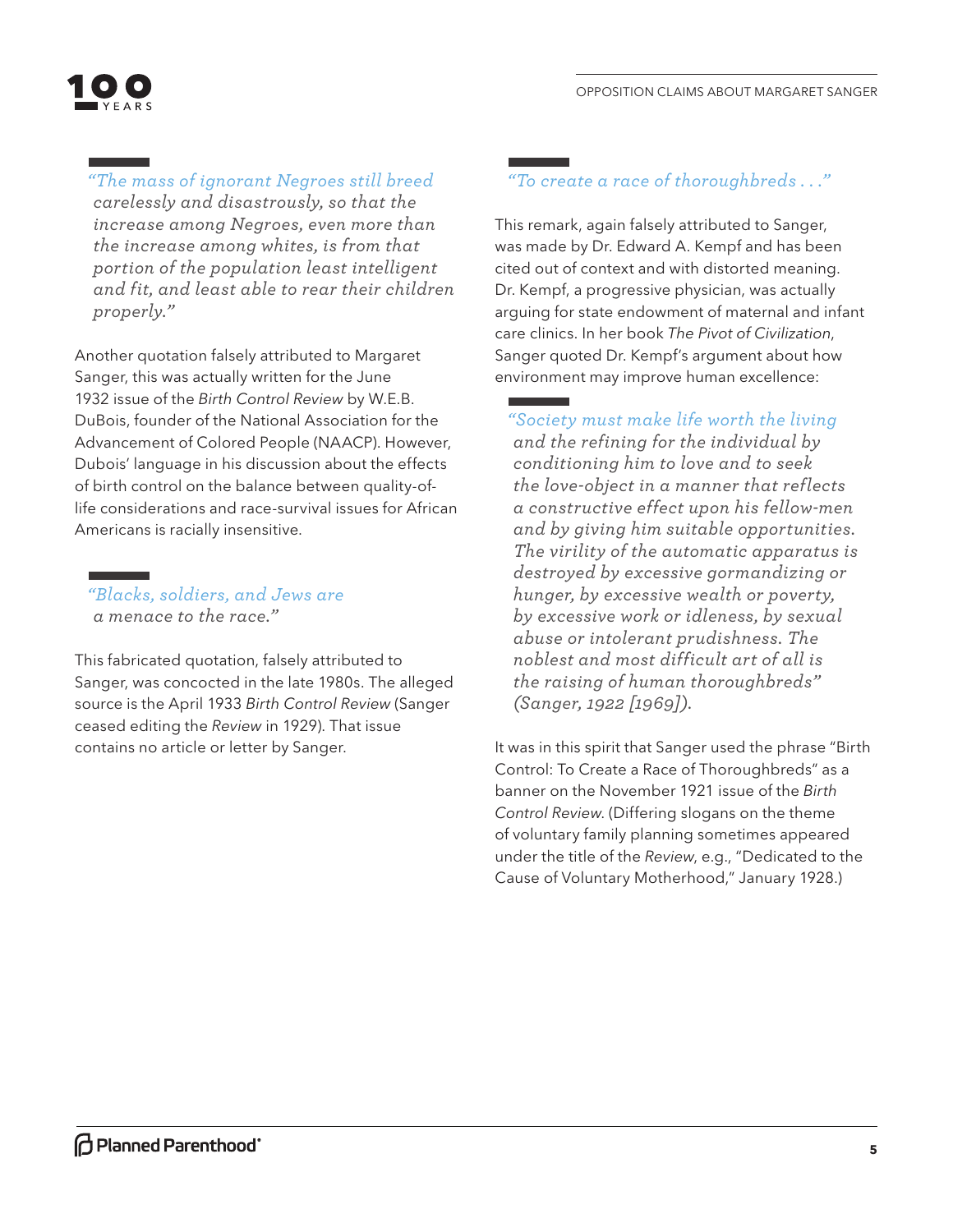

*"The mass of ignorant Negroes still breed carelessly and disastrously, so that the increase among Negroes, even more than the increase among whites, is from that portion of the population least intelligent and fit, and least able to rear their children properly."* 

Another quotation falsely attributed to Margaret Sanger, this was actually written for the June 1932 issue of the *Birth Control Review* by W.E.B. DuBois, founder of the National Association for the Advancement of Colored People (NAACP). However, Dubois' language in his discussion about the effects of birth control on the balance between quality-oflife considerations and race-survival issues for African Americans is racially insensitive.

*"Blacks, soldiers, and Jews are a menace to the race."* 

This fabricated quotation, falsely attributed to Sanger, was concocted in the late 1980s. The alleged source is the April 1933 *Birth Control Review* (Sanger ceased editing the *Review* in 1929). That issue contains no article or letter by Sanger.

## *"To create a race of thoroughbreds . . ."*

This remark, again falsely attributed to Sanger, was made by Dr. Edward A. Kempf and has been cited out of context and with distorted meaning. Dr. Kempf, a progressive physician, was actually arguing for state endowment of maternal and infant care clinics. In her book *The Pivot of Civilization*, Sanger quoted Dr. Kempf's argument about how environment may improve human excellence:

*"Society must make life worth the living and the refining for the individual by conditioning him to love and to seek the love-object in a manner that reflects a constructive effect upon his fellow-men and by giving him suitable opportunities. The virility of the automatic apparatus is destroyed by excessive gormandizing or hunger, by excessive wealth or poverty, by excessive work or idleness, by sexual abuse or intolerant prudishness. The noblest and most difficult art of all is the raising of human thoroughbreds" (Sanger, 1922 [1969]).* 

It was in this spirit that Sanger used the phrase "Birth Control: To Create a Race of Thoroughbreds" as a banner on the November 1921 issue of the *Birth Control Review*. (Differing slogans on the theme of voluntary family planning sometimes appeared under the title of the *Review*, e.g., "Dedicated to the Cause of Voluntary Motherhood," January 1928.)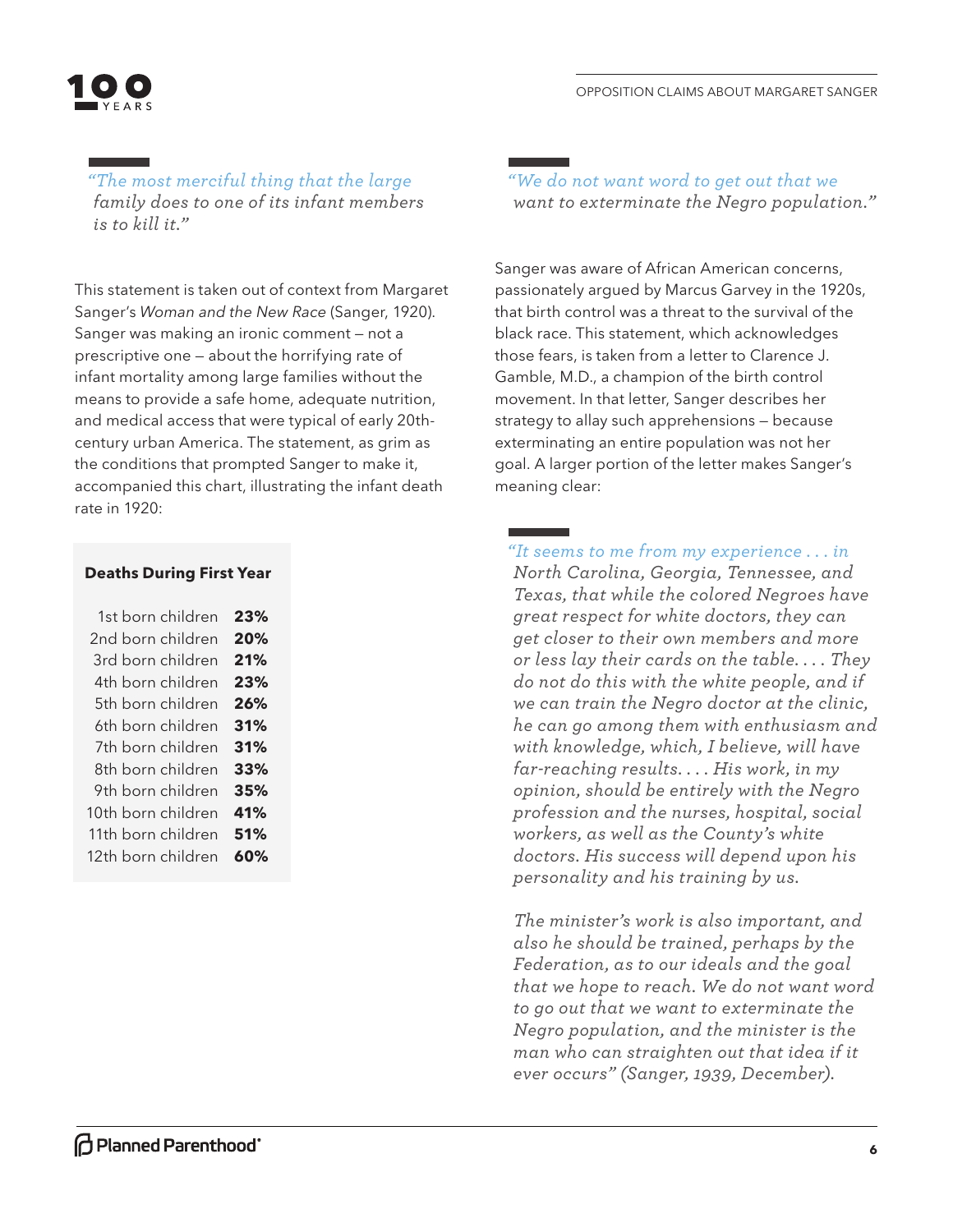*"The most merciful thing that the large family does to one of its infant members is to kill it."* 

This statement is taken out of context from Margaret Sanger's *Woman and the New Race* (Sanger, 1920). Sanger was making an ironic comment — not a prescriptive one — about the horrifying rate of infant mortality among large families without the means to provide a safe home, adequate nutrition, and medical access that were typical of early 20thcentury urban America. The statement, as grim as the conditions that prompted Sanger to make it, accompanied this chart, illustrating the infant death rate in 1920:

#### **Deaths During First Year**

| 1st born children  | 23% |
|--------------------|-----|
| 2nd born children  | 20% |
| 3rd born children  | 21% |
| 4th born children  | 23% |
| 5th born children  | 26% |
| 6th born children  | 31% |
| 7th born children  | 31% |
| 8th born children  | 33% |
| 9th born children  | 35% |
| 10th born children | 41% |
| 11th born children | 51% |
| 12th born children | 60% |
|                    |     |

*"We do not want word to get out that we want to exterminate the Negro population."* 

Sanger was aware of African American concerns, passionately argued by Marcus Garvey in the 1920s, that birth control was a threat to the survival of the black race. This statement, which acknowledges those fears, is taken from a letter to Clarence J. Gamble, M.D., a champion of the birth control movement. In that letter, Sanger describes her strategy to allay such apprehensions — because exterminating an entire population was not her goal. A larger portion of the letter makes Sanger's meaning clear:

*"It seems to me from my experience . . . in North Carolina, Georgia, Tennessee, and Texas, that while the colored Negroes have great respect for white doctors, they can get closer to their own members and more or less lay their cards on the table. . . . They do not do this with the white people, and if we can train the Negro doctor at the clinic, he can go among them with enthusiasm and with knowledge, which, I believe, will have far-reaching results. . . . His work, in my opinion, should be entirely with the Negro profession and the nurses, hospital, social workers, as well as the County's white doctors. His success will depend upon his personality and his training by us.* 

*The minister's work is also important, and also he should be trained, perhaps by the Federation, as to our ideals and the goal that we hope to reach. We do not want word to go out that we want to exterminate the Negro population, and the minister is the man who can straighten out that idea if it ever occurs" (Sanger, 1939, December).*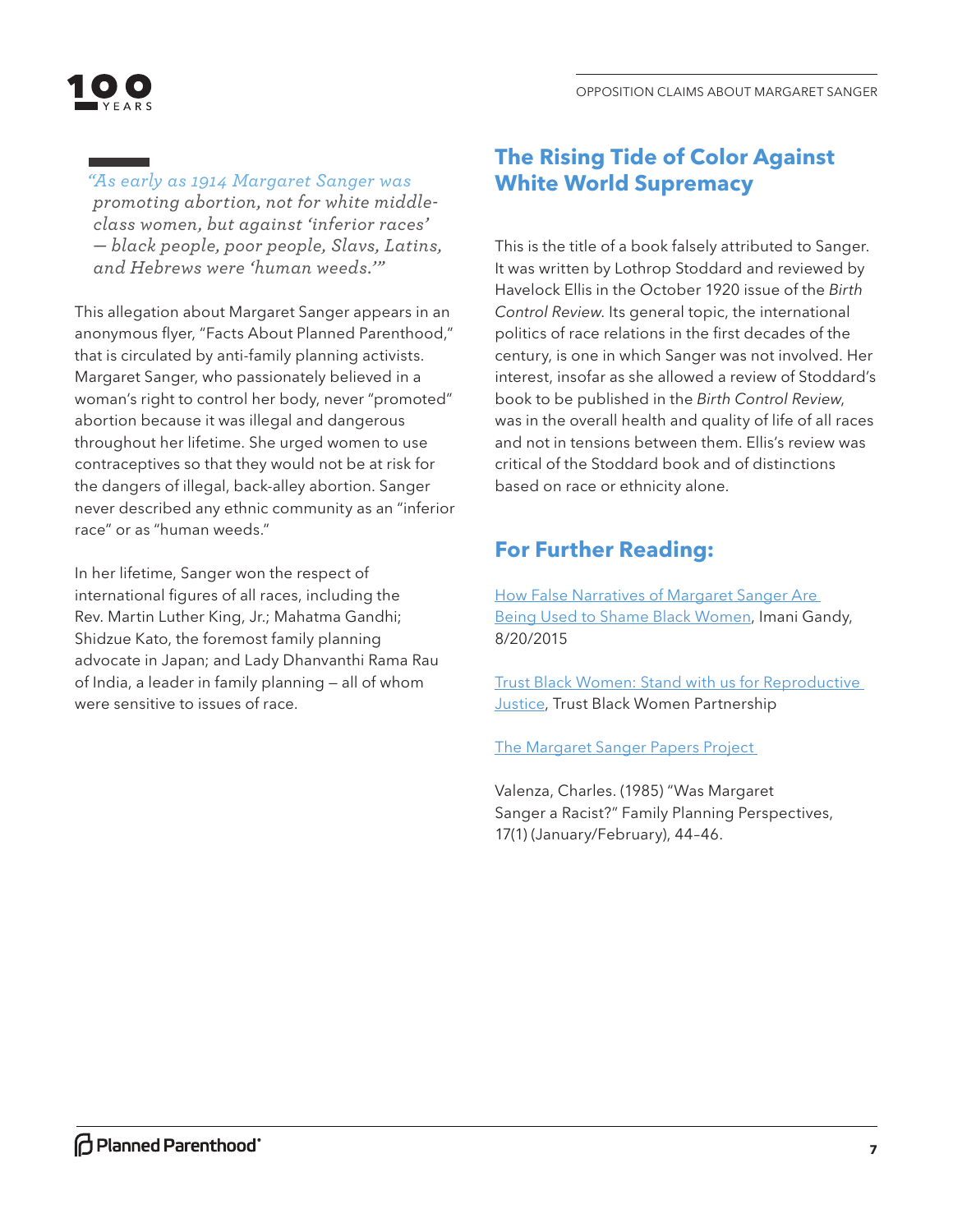

*"As early as 1914 Margaret Sanger was promoting abortion, not for white middleclass women, but against 'inferior races' — black people, poor people, Slavs, Latins, and Hebrews were 'human weeds.'"* 

This allegation about Margaret Sanger appears in an anonymous flyer, "Facts About Planned Parenthood," that is circulated by anti-family planning activists. Margaret Sanger, who passionately believed in a woman's right to control her body, never "promoted" abortion because it was illegal and dangerous throughout her lifetime. She urged women to use contraceptives so that they would not be at risk for the dangers of illegal, back-alley abortion. Sanger never described any ethnic community as an "inferior race" or as "human weeds."

In her lifetime, Sanger won the respect of international figures of all races, including the Rev. Martin Luther King, Jr.; Mahatma Gandhi; Shidzue Kato, the foremost family planning advocate in Japan; and Lady Dhanvanthi Rama Rau of India, a leader in family planning — all of whom were sensitive to issues of race.

## **The Rising Tide of Color Against White World Supremacy**

This is the title of a book falsely attributed to Sanger. It was written by Lothrop Stoddard and reviewed by Havelock Ellis in the October 1920 issue of the *Birth Control Review*. Its general topic, the international politics of race relations in the first decades of the century, is one in which Sanger was not involved. Her interest, insofar as she allowed a review of Stoddard's book to be published in the *Birth Control Review*, was in the overall health and quality of life of all races and not in tensions between them. Ellis's review was critical of the Stoddard book and of distinctions based on race or ethnicity alone.

# **For Further Reading:**

How False Narratives of Margaret Sanger Are Being Used to Shame Black Women, Imani Gandy, 8/20/2015

Trust Black Women: Stand with us for Reproductive Justice, Trust Black Women Partnership

The Margaret Sanger Papers Project

Valenza, Charles. (1985) "Was Margaret Sanger a Racist?" Family Planning Perspectives, 17(1) (January/February), 44–46.